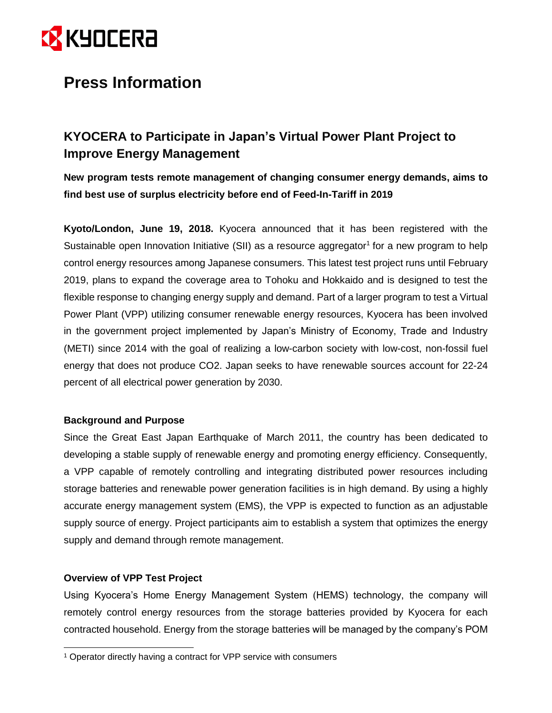

## **Press Information**

### **KYOCERA to Participate in Japan's Virtual Power Plant Project to Improve Energy Management**

**New program tests remote management of changing consumer energy demands, aims to find best use of surplus electricity before end of Feed-In-Tariff in 2019**

**Kyoto/London, June 19, 2018.** Kyocera announced that it has been registered with the Sustainable open Innovation Initiative (SII) as a resource aggregator<sup>1</sup> for a new program to help control energy resources among Japanese consumers. This latest test project runs until February 2019, plans to expand the coverage area to Tohoku and Hokkaido and is designed to test the flexible response to changing energy supply and demand. Part of a larger program to test a Virtual Power Plant (VPP) utilizing consumer renewable energy resources, Kyocera has been involved in the government project implemented by Japan's Ministry of Economy, Trade and Industry (METI) since 2014 with the goal of realizing a low-carbon society with low-cost, non-fossil fuel energy that does not produce CO2. Japan seeks to have renewable sources account for 22-24 percent of all electrical power generation by 2030.

#### **Background and Purpose**

Since the Great East Japan Earthquake of March 2011, the country has been dedicated to developing a stable supply of renewable energy and promoting energy efficiency. Consequently, a VPP capable of remotely controlling and integrating distributed power resources including storage batteries and renewable power generation facilities is in high demand. By using a highly accurate energy management system (EMS), the VPP is expected to function as an adjustable supply source of energy. Project participants aim to establish a system that optimizes the energy supply and demand through remote management.

#### **Overview of VPP Test Project**

 $\overline{a}$ 

Using Kyocera's Home Energy Management System (HEMS) technology, the company will remotely control energy resources from the storage batteries provided by Kyocera for each contracted household. Energy from the storage batteries will be managed by the company's POM

<sup>&</sup>lt;sup>1</sup> Operator directly having a contract for VPP service with consumers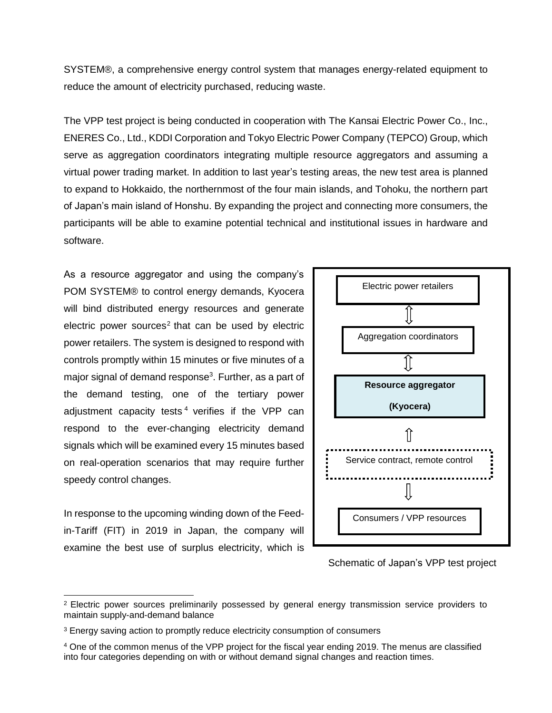SYSTEM®, a comprehensive energy control system that manages energy-related equipment to reduce the amount of electricity purchased, reducing waste.

The VPP test project is being conducted in cooperation with The Kansai Electric Power Co., Inc., ENERES Co., Ltd., KDDI Corporation and Tokyo Electric Power Company (TEPCO) Group, which serve as aggregation coordinators integrating multiple resource aggregators and assuming a virtual power trading market. In addition to last year's testing areas, the new test area is planned to expand to Hokkaido, the northernmost of the four main islands, and Tohoku, the northern part of Japan's main island of Honshu. By expanding the project and connecting more consumers, the participants will be able to examine potential technical and institutional issues in hardware and software.

As a resource aggregator and using the company's POM SYSTEM® to control energy demands, Kyocera will bind distributed energy resources and generate electric power sources<sup>2</sup> that can be used by electric power retailers. The system is designed to respond with controls promptly within 15 minutes or five minutes of a major signal of demand response<sup>3</sup>. Further, as a part of the demand testing, one of the tertiary power adjustment capacity tests <sup>4</sup> verifies if the VPP can respond to the ever-changing electricity demand signals which will be examined every 15 minutes based on real-operation scenarios that may require further speedy control changes.

In response to the upcoming winding down of the Feedin-Tariff (FIT) in 2019 in Japan, the company will examine the best use of surplus electricity, which is

 $\overline{a}$ 



Schematic of Japan's VPP test project

<sup>&</sup>lt;sup>2</sup> Electric power sources preliminarily possessed by general energy transmission service providers to maintain supply-and-demand balance

<sup>&</sup>lt;sup>3</sup> Energy saving action to promptly reduce electricity consumption of consumers

<sup>4</sup> One of the common menus of the VPP project for the fiscal year ending 2019. The menus are classified into four categories depending on with or without demand signal changes and reaction times.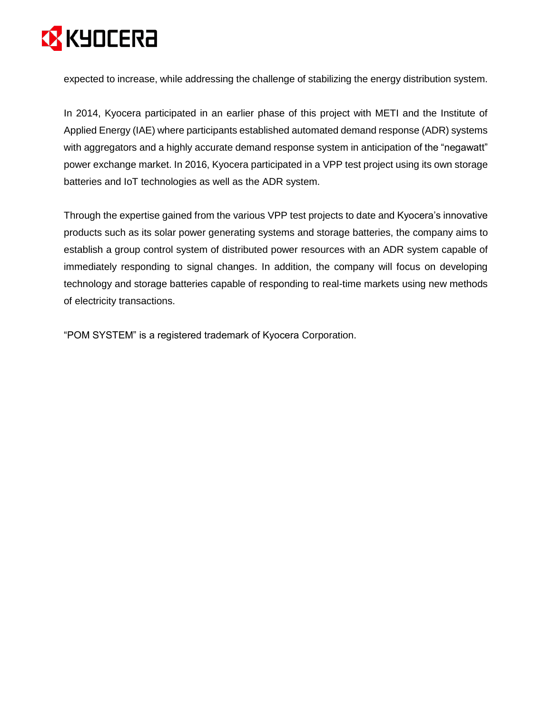# **EX KYOCERA**

expected to increase, while addressing the challenge of stabilizing the energy distribution system.

In 2014, Kyocera participated in an earlier phase of this project with METI and the Institute of Applied Energy (IAE) where participants established automated demand response (ADR) systems with aggregators and a highly accurate demand response system in anticipation of the "negawatt" power exchange market. In 2016, Kyocera participated in a [VPP test project](https://global.kyocera.com/news/2016/0905_mvid.html) using its own storage batteries and IoT technologies as well as the ADR system.

Through the expertise gained from the various VPP test projects to date and Kyocera's innovative products such as its solar power generating systems and storage batteries, the company aims to establish a group control system of distributed power resources with an ADR system capable of immediately responding to signal changes. In addition, the company will focus on developing technology and storage batteries capable of responding to real-time markets using new methods of electricity transactions.

"POM SYSTEM" is a registered trademark of Kyocera Corporation.